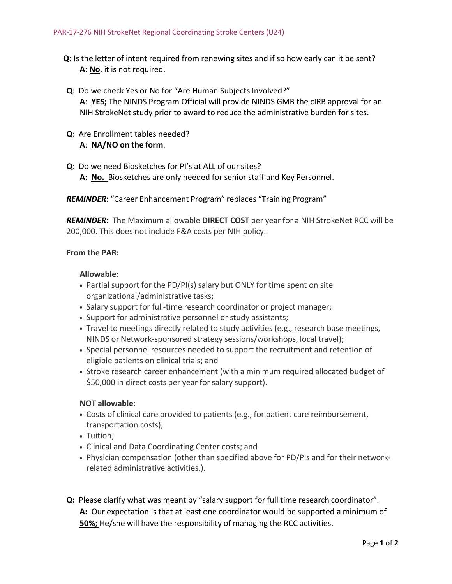- **Q**: Is the letter of intent required from renewing sites and if so how early can it be sent? **A**: **No**, it is not required.
- **Q**: Do we check Yes or No for "Are Human Subjects Involved?" **A**: **YES;** The NINDS Program Official will provide NINDS GMB the cIRB approval for an NIH StrokeNet study prior to award to reduce the administrative burden for sites.
- **Q**: Are Enrollment tables needed? **A**: **NA/NO on the form**.
- **Q**: Do we need Biosketches for PI's at ALL of our sites? **A**: **No.** Biosketches are only needed for senior staff and Key Personnel.

*REMINDER***:** "Career Enhancement Program" replaces "Training Program"

*REMINDER***:** The Maximum allowable **DIRECT COST** per year for a NIH StrokeNet RCC will be 200,000. This does not include F&A costs per NIH policy.

#### **From the PAR:**

#### **Allowable**:

- Partial support for the PD/PI(s) salary but ONLY for time spent on site organizational/administrative tasks;
- Salary support for full-time research coordinator or project manager;
- Support for administrative personnel or study assistants;
- Travel to meetings directly related to study activities (e.g., research base meetings, NINDS or Network-sponsored strategy sessions/workshops, local travel);
- Special personnel resources needed to support the recruitment and retention of eligible patients on clinical trials; and
- Stroke research career enhancement (with a minimum required allocated budget of \$50,000 in direct costs per year for salary support).

#### **NOT allowable**:

- Costs of clinical care provided to patients (e.g., for patient care reimbursement, transportation costs);
- Tuition:
- Clinical and Data Coordinating Center costs; and
- Physician compensation (other than specified above for PD/PIs and for their networkrelated administrative activities.).
- **Q:** Please clarify what was meant by "salary support for full time research coordinator". **A:** Our expectation is that at least one coordinator would be supported a minimum of **50%;** He/she will have the responsibility of managing the RCC activities.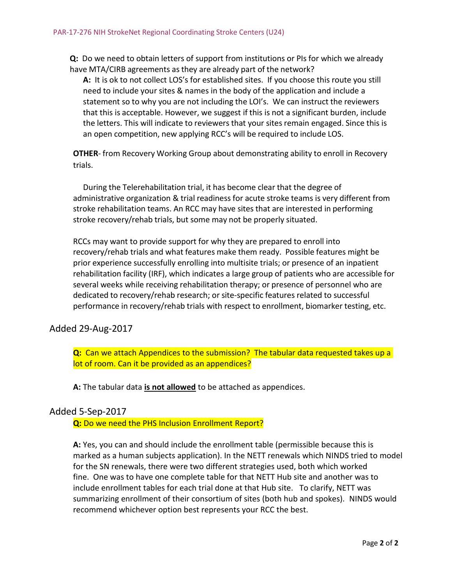**Q:** Do we need to obtain letters of support from institutions or PIs for which we already have MTA/CIRB agreements as they are already part of the network?

**A:** It is ok to not collect LOS's for established sites. If you choose this route you still need to include your sites & names in the body of the application and include a statement so to why you are not including the LOI's. We can instruct the reviewers that this is acceptable. However, we suggest if this is not a significant burden, include the letters. This will indicate to reviewers that your sites remain engaged. Since this is an open competition, new applying RCC's will be required to include LOS.

**OTHER**- from Recovery Working Group about demonstrating ability to enroll in Recovery trials.

During the Telerehabilitation trial, it has become clear that the degree of administrative organization & trial readiness for acute stroke teams is very different from stroke rehabilitation teams. An RCC may have sites that are interested in performing stroke recovery/rehab trials, but some may not be properly situated.

RCCs may want to provide support for why they are prepared to enroll into recovery/rehab trials and what features make them ready. Possible features might be prior experience successfully enrolling into multisite trials; or presence of an inpatient rehabilitation facility (IRF), which indicates a large group of patients who are accessible for several weeks while receiving rehabilitation therapy; or presence of personnel who are dedicated to recovery/rehab research; or site-specific features related to successful performance in recovery/rehab trials with respect to enrollment, biomarker testing, etc.

# Added 29-Aug-2017

**Q:** Can we attach Appendices to the submission? The tabular data requested takes up a lot of room. Can it be provided as an appendices?

**A:** The tabular data **is not allowed** to be attached as appendices.

# Added 5-Sep-2017

**Q:** Do we need the PHS Inclusion Enrollment Report?

**A:** Yes, you can and should include the enrollment table (permissible because this is marked as a human subjects application). In the NETT renewals which NINDS tried to model for the SN renewals, there were two different strategies used, both which worked fine. One was to have one complete table for that NETT Hub site and another was to include enrollment tables for each trial done at that Hub site. To clarify, NETT was summarizing enrollment of their consortium of sites (both hub and spokes). NINDS would recommend whichever option best represents your RCC the best.